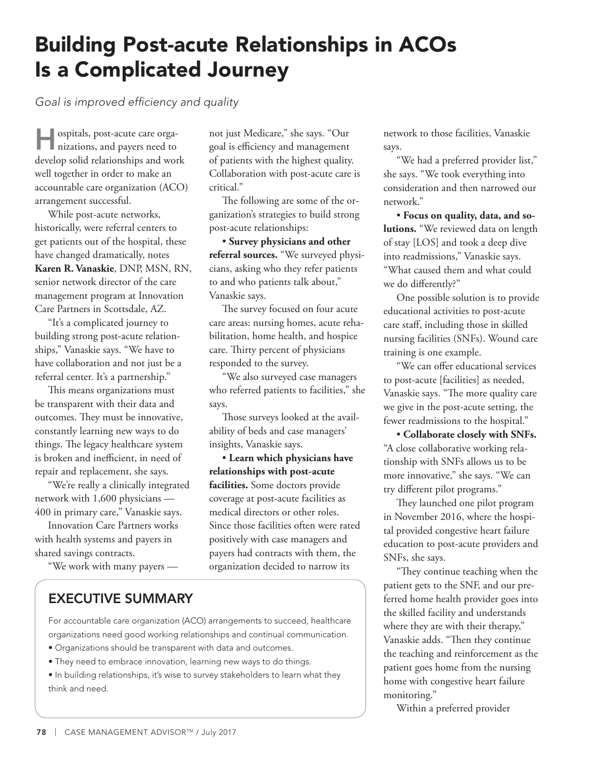## Building Post-acute Relationships in ACOs Is a Complicated Journey

*Goal is improved efficiency and quality*

Hospitals, post-acute care orga-nizations, and payers need to develop solid relationships and work well together in order to make an accountable care organization (ACO) arrangement successful.

While post-acute networks, historically, were referral centers to get patients out of the hospital, these have changed dramatically, notes **Karen R. Vanaskie**, DNP, MSN, RN, senior network director of the care management program at Innovation Care Partners in Scottsdale, AZ.

"It's a complicated journey to building strong post-acute relationships," Vanaskie says. "We have to have collaboration and not just be a referral center. It's a partnership."

This means organizations must be transparent with their data and outcomes. They must be innovative, constantly learning new ways to do things. The legacy healthcare system is broken and inefficient, in need of repair and replacement, she says.

"We're really a clinically integrated network with 1,600 physicians — 400 in primary care," Vanaskie says.

Innovation Care Partners works with health systems and payers in shared savings contracts.

"We work with many payers —

not just Medicare," she says. "Our goal is efficiency and management of patients with the highest quality. Collaboration with post-acute care is critical."

The following are some of the organization's strategies to build strong post-acute relationships:

• **Survey physicians and other referral sources.** "We surveyed physicians, asking who they refer patients to and who patients talk about," Vanaskie says.

The survey focused on four acute care areas: nursing homes, acute rehabilitation, home health, and hospice care. Thirty percent of physicians responded to the survey.

"We also surveyed case managers who referred patients to facilities," she says.

Those surveys looked at the availability of beds and case managers' insights, Vanaskie says.

• **Learn which physicians have relationships with post-acute facilities.** Some doctors provide coverage at post-acute facilities as medical directors or other roles. Since those facilities often were rated positively with case managers and payers had contracts with them, the organization decided to narrow its

## EXECUTIVE SUMMARY

For accountable care organization (ACO) arrangements to succeed, healthcare organizations need good working relationships and continual communication.

- Organizations should be transparent with data and outcomes.
- They need to embrace innovation, learning new ways to do things.
- In building relationships, it's wise to survey stakeholders to learn what they think and need.

network to those facilities, Vanaskie says.

"We had a preferred provider list," she says. "We took everything into consideration and then narrowed our network."

• **Focus on quality, data, and solutions.** "We reviewed data on length of stay [LOS] and took a deep dive into readmissions," Vanaskie says. "What caused them and what could we do differently?"

One possible solution is to provide educational activities to post-acute care staff, including those in skilled nursing facilities (SNFs). Wound care training is one example.

"We can offer educational services to post-acute [facilities] as needed, Vanaskie says. "The more quality care we give in the post-acute setting, the fewer readmissions to the hospital."

• **Collaborate closely with SNFs.** "A close collaborative working relationship with SNFs allows us to be more innovative," she says. "We can try different pilot programs."

They launched one pilot program in November 2016, where the hospital provided congestive heart failure education to post-acute providers and SNFs, she says.

"They continue teaching when the patient gets to the SNF, and our preferred home health provider goes into the skilled facility and understands where they are with their therapy," Vanaskie adds. "Then they continue the teaching and reinforcement as the patient goes home from the nursing home with congestive heart failure monitoring."

Within a preferred provider